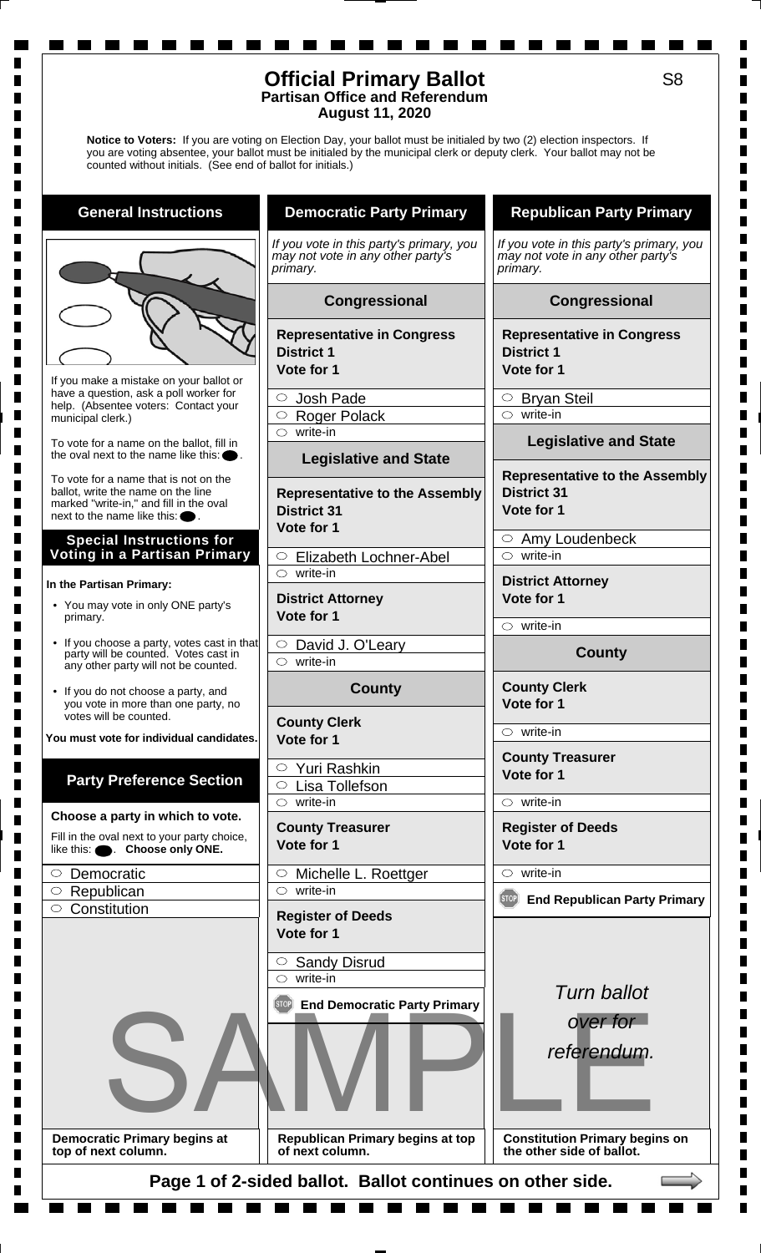### **Official Primary Ballot Partisan Office and Referendum August 11, 2020**

**Notice to Voters:** If you are voting on Election Day, your ballot must be initialed by two (2) election inspectors. If you are voting absentee, your ballot must be initialed by the municipal clerk or deputy clerk. Your ballot may not be counted without initials. (See end of ballot for initials.)

**General Instructions**

If you make a mistake on your ballot or have a question, ask a poll worker for help. (Absentee voters: Contact your municipal clerk.)

To vote for a name on the ballot, fill in the oval next to the name like this:

To vote for a name that is not on the ballot, write the name on the line marked "write-in," and fill in the oval next to the name like this:

#### **Special Instructions for Voting in a Partisan Primary**

#### **In the Partisan Primary:**

ш

ш

- You may vote in only ONE party's primary.
- If you choose a party, votes cast in that party will be counted. Votes cast in any other party will not be counted.
- If you do not choose a party, and you vote in more than one party, no votes will be counted.

**You must vote for individual candidates.**

# **Party Preference Section**

**Choose a party in which to vote.**

Fill in the oval next to your party choice, like this:  $\bullet$  **Choose only ONE.** 

| $\circ$ Democratic   |
|----------------------|
| $\circ$ Republican   |
| $\circ$ Constitution |
|                      |

**Democratic Primary begins at top of next column.**

# **Democratic Party Primary**

*If you vote in this party's primary, you may not vote in any other party's primary.*

#### **Congressional**

**Representative in Congress District 1**

**Vote for 1**

 $\circ$ Josh Pade

O Roger Polack

 $\circ$  write-in

#### **Legislative and State**

**Representative to the Assembly District 31 Vote for 1**

 $\circ$  Elizabeth Lochner-Abel write-in

**District Attorney Vote for 1**

 $\circ$  David J. O'Leary  $\circ$  write-in

## **County**

**County Clerk Vote for 1**

Yuri Rashkin Lisa Tollefson  $\circ$  write-in

**County Treasurer Vote for 1**

 $\circ$  Michelle L. Roettger  $\circ$  write-in

**Register of Deeds Vote for 1**

 $\circ$  Sandy Disrud write-in

**End Democratic Party Primary**



**Republican Primary begins at top of next column.**

# **Republican Party Primary**

*If you vote in this party's primary, you may not vote in any other party's primary.*

## **Congressional**

**Representative in Congress District 1 Vote for 1**

O Bryan Steil  $\circ$  write-in

**Legislative and State**

#### **Representative to the Assembly District 31 Vote for 1**

 $\circ$  Amy Loudenbeck  $\circ$  write-in

**District Attorney Vote for 1**

 $\circ$  write-in

## **County**

**County Clerk Vote for 1**

 $\circ$  write-in

**County Treasurer Vote for 1**

 $\circ$  write-in

**Register of Deeds**

**Vote for 1**  $\circ$  write-in

# **End Republican Party Primary**



*referendum.*

**Constitution Primary begins on the other side of ballot.**

**Page 1 of 2-sided ballot. Ballot continues on other side.**

П  $\blacksquare$  $\blacksquare$  $\blacksquare$ П  $\blacksquare$  $\blacksquare$ H. П  $\blacksquare$  $\blacksquare$ 

 $\blacksquare$  $\blacksquare$ 

П  $\blacksquare$ 

 $\blacksquare$  $\blacksquare$ Г Г  $\blacksquare$ П П П  $\blacksquare$  $\blacksquare$ Г Г П  $\blacksquare$  $\blacksquare$  $\blacksquare$  $\blacksquare$  $\blacksquare$ П П

 $\blacksquare$  $\blacksquare$  $\blacksquare$  $\blacksquare$  $\blacksquare$  $\blacksquare$  $\blacksquare$  $\blacksquare$ 

 $\blacksquare$  $\blacksquare$  $\blacksquare$  $\blacksquare$  $\blacksquare$  $\blacksquare$  $\blacksquare$ П Г Г Г П П